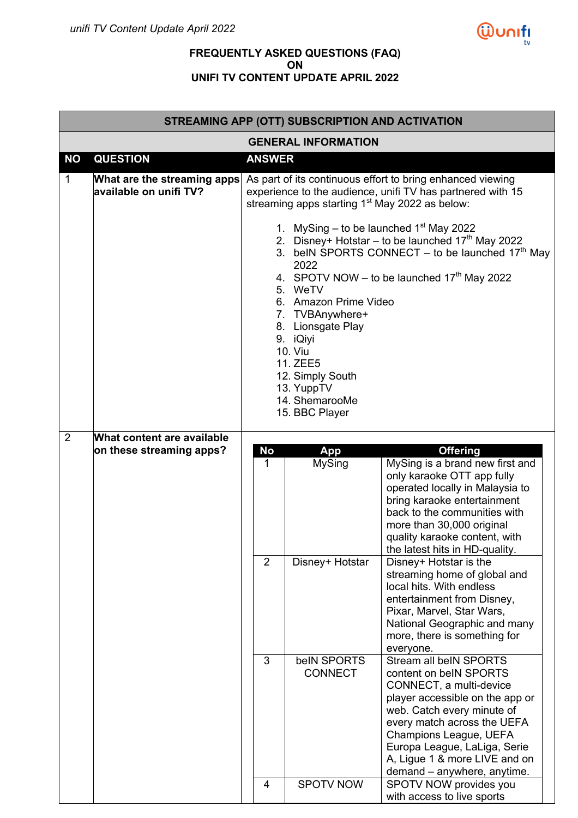

## **FREQUENTLY ASKED QUESTIONS (FAQ) ON UNIFI TV CONTENT UPDATE APRIL 2022**

|                | STREAMING APP (OTT) SUBSCRIPTION AND ACTIVATION        |                                                                                                                                                                                                                                                                                                                                                                                                             |                                                   |                                                                                                                                                                                                                                                                                                                                                               |  |  |
|----------------|--------------------------------------------------------|-------------------------------------------------------------------------------------------------------------------------------------------------------------------------------------------------------------------------------------------------------------------------------------------------------------------------------------------------------------------------------------------------------------|---------------------------------------------------|---------------------------------------------------------------------------------------------------------------------------------------------------------------------------------------------------------------------------------------------------------------------------------------------------------------------------------------------------------------|--|--|
|                |                                                        |                                                                                                                                                                                                                                                                                                                                                                                                             | <b>GENERAL INFORMATION</b>                        |                                                                                                                                                                                                                                                                                                                                                               |  |  |
| <b>NO</b>      | <b>QUESTION</b>                                        | <b>ANSWER</b>                                                                                                                                                                                                                                                                                                                                                                                               |                                                   |                                                                                                                                                                                                                                                                                                                                                               |  |  |
| $\mathbf{1}$   | What are the streaming apps<br>available on unifi TV?  |                                                                                                                                                                                                                                                                                                                                                                                                             |                                                   | As part of its continuous effort to bring enhanced viewing<br>experience to the audience, unifi TV has partnered with 15<br>streaming apps starting 1 <sup>st</sup> May 2022 as below:                                                                                                                                                                        |  |  |
|                |                                                        | 1. MySing – to be launched $1st$ May 2022<br>2. Disney+ Hotstar – to be launched $17th$ May 2022<br>3. beIN SPORTS CONNECT – to be launched $17th$ May<br>2022<br>4. SPOTV NOW – to be launched $17th$ May 2022<br>5. WeTV<br>6. Amazon Prime Video<br>7. TVBAnywhere+<br>8. Lionsgate Play<br>9. iQiyi<br><b>10. Viu</b><br>11. ZEE5<br>12. Simply South<br>13. YuppTV<br>14. ShemarooMe<br>15. BBC Player |                                                   |                                                                                                                                                                                                                                                                                                                                                               |  |  |
| $\overline{2}$ | What content are available<br>on these streaming apps? | No<br>$\mathbf{1}$<br>2                                                                                                                                                                                                                                                                                                                                                                                     | App<br><b>MySing</b><br>Disney+ Hotstar           | <b>Offering</b><br>MySing is a brand new first and<br>only karaoke OTT app fully<br>operated locally in Malaysia to<br>bring karaoke entertainment<br>back to the communities with<br>more than 30,000 original<br>quality karaoke content, with<br>the latest hits in HD-quality.<br>Disney+ Hotstar is the<br>streaming home of global and                  |  |  |
|                |                                                        |                                                                                                                                                                                                                                                                                                                                                                                                             |                                                   | local hits. With endless<br>entertainment from Disney,<br>Pixar, Marvel, Star Wars,<br>National Geographic and many<br>more, there is something for<br>everyone.                                                                                                                                                                                              |  |  |
|                |                                                        | 3<br>4                                                                                                                                                                                                                                                                                                                                                                                                      | belN SPORTS<br><b>CONNECT</b><br><b>SPOTV NOW</b> | Stream all beIN SPORTS<br>content on beIN SPORTS<br>CONNECT, a multi-device<br>player accessible on the app or<br>web. Catch every minute of<br>every match across the UEFA<br>Champions League, UEFA<br>Europa League, LaLiga, Serie<br>A, Ligue 1 & more LIVE and on<br>demand - anywhere, anytime.<br>SPOTV NOW provides you<br>with access to live sports |  |  |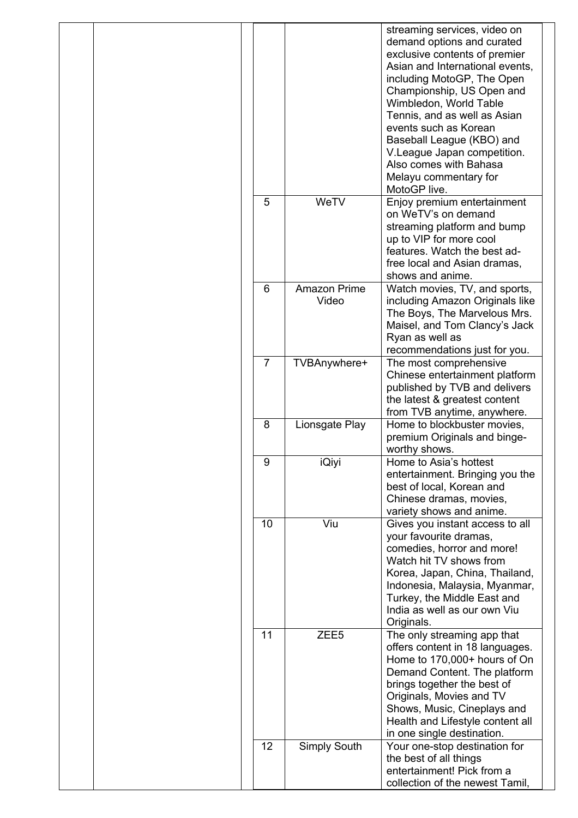|                |                       | streaming services, video on<br>demand options and curated<br>exclusive contents of premier<br>Asian and International events,<br>including MotoGP, The Open<br>Championship, US Open and<br>Wimbledon, World Table<br>Tennis, and as well as Asian<br>events such as Korean<br>Baseball League (KBO) and<br>V. League Japan competition.<br>Also comes with Bahasa<br>Melayu commentary for<br>MotoGP live. |
|----------------|-----------------------|--------------------------------------------------------------------------------------------------------------------------------------------------------------------------------------------------------------------------------------------------------------------------------------------------------------------------------------------------------------------------------------------------------------|
| 5              | WeTV                  | Enjoy premium entertainment<br>on WeTV's on demand<br>streaming platform and bump<br>up to VIP for more cool<br>features. Watch the best ad-<br>free local and Asian dramas,<br>shows and anime.                                                                                                                                                                                                             |
| 6              | Amazon Prime<br>Video | Watch movies, TV, and sports,<br>including Amazon Originals like<br>The Boys, The Marvelous Mrs.<br>Maisel, and Tom Clancy's Jack<br>Ryan as well as<br>recommendations just for you.                                                                                                                                                                                                                        |
| $\overline{7}$ | TVBAnywhere+          | The most comprehensive<br>Chinese entertainment platform<br>published by TVB and delivers<br>the latest & greatest content<br>from TVB anytime, anywhere.                                                                                                                                                                                                                                                    |
| 8              | Lionsgate Play        | Home to blockbuster movies,<br>premium Originals and binge-<br>worthy shows.                                                                                                                                                                                                                                                                                                                                 |
| 9              | iQiyi                 | Home to Asia's hottest<br>entertainment. Bringing you the<br>best of local, Korean and<br>Chinese dramas, movies,<br>variety shows and anime.                                                                                                                                                                                                                                                                |
| 10             | Viu                   | Gives you instant access to all<br>your favourite dramas,<br>comedies, horror and more!<br>Watch hit TV shows from<br>Korea, Japan, China, Thailand,<br>Indonesia, Malaysia, Myanmar,<br>Turkey, the Middle East and<br>India as well as our own Viu<br>Originals.                                                                                                                                           |
| 11             | ZEE <sub>5</sub>      | The only streaming app that<br>offers content in 18 languages.<br>Home to 170,000+ hours of On<br>Demand Content. The platform<br>brings together the best of<br>Originals, Movies and TV<br>Shows, Music, Cineplays and<br>Health and Lifestyle content all<br>in one single destination.                                                                                                                   |
| 12             | <b>Simply South</b>   | Your one-stop destination for<br>the best of all things<br>entertainment! Pick from a<br>collection of the newest Tamil,                                                                                                                                                                                                                                                                                     |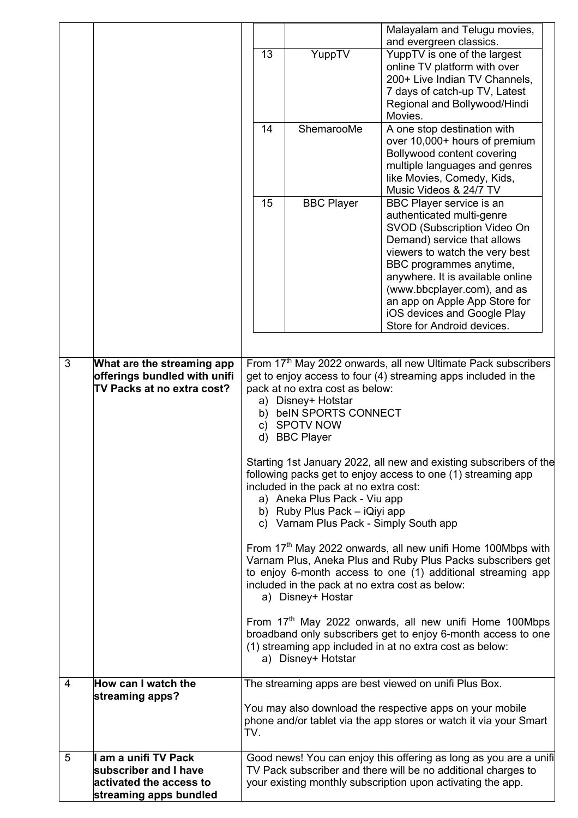|   |                                                                                          |                                                                                                                                                                                                                                                                                                                                                                                                                                                                                                                                                                                                                                                                                                                                                                                                                                                                                                                                                                                                                                                          |                   | Malayalam and Telugu movies,<br>and evergreen classics.                                                                       |  |
|---|------------------------------------------------------------------------------------------|----------------------------------------------------------------------------------------------------------------------------------------------------------------------------------------------------------------------------------------------------------------------------------------------------------------------------------------------------------------------------------------------------------------------------------------------------------------------------------------------------------------------------------------------------------------------------------------------------------------------------------------------------------------------------------------------------------------------------------------------------------------------------------------------------------------------------------------------------------------------------------------------------------------------------------------------------------------------------------------------------------------------------------------------------------|-------------------|-------------------------------------------------------------------------------------------------------------------------------|--|
|   |                                                                                          | 13                                                                                                                                                                                                                                                                                                                                                                                                                                                                                                                                                                                                                                                                                                                                                                                                                                                                                                                                                                                                                                                       | YuppTV            | YuppTV is one of the largest                                                                                                  |  |
|   |                                                                                          |                                                                                                                                                                                                                                                                                                                                                                                                                                                                                                                                                                                                                                                                                                                                                                                                                                                                                                                                                                                                                                                          |                   | online TV platform with over                                                                                                  |  |
|   |                                                                                          |                                                                                                                                                                                                                                                                                                                                                                                                                                                                                                                                                                                                                                                                                                                                                                                                                                                                                                                                                                                                                                                          |                   | 200+ Live Indian TV Channels,                                                                                                 |  |
|   |                                                                                          |                                                                                                                                                                                                                                                                                                                                                                                                                                                                                                                                                                                                                                                                                                                                                                                                                                                                                                                                                                                                                                                          |                   | 7 days of catch-up TV, Latest                                                                                                 |  |
|   |                                                                                          |                                                                                                                                                                                                                                                                                                                                                                                                                                                                                                                                                                                                                                                                                                                                                                                                                                                                                                                                                                                                                                                          |                   | Regional and Bollywood/Hindi<br>Movies.                                                                                       |  |
|   |                                                                                          | 14                                                                                                                                                                                                                                                                                                                                                                                                                                                                                                                                                                                                                                                                                                                                                                                                                                                                                                                                                                                                                                                       | ShemarooMe        | A one stop destination with                                                                                                   |  |
|   |                                                                                          |                                                                                                                                                                                                                                                                                                                                                                                                                                                                                                                                                                                                                                                                                                                                                                                                                                                                                                                                                                                                                                                          |                   | over 10,000+ hours of premium                                                                                                 |  |
|   |                                                                                          |                                                                                                                                                                                                                                                                                                                                                                                                                                                                                                                                                                                                                                                                                                                                                                                                                                                                                                                                                                                                                                                          |                   | Bollywood content covering                                                                                                    |  |
|   |                                                                                          |                                                                                                                                                                                                                                                                                                                                                                                                                                                                                                                                                                                                                                                                                                                                                                                                                                                                                                                                                                                                                                                          |                   | multiple languages and genres<br>like Movies, Comedy, Kids,                                                                   |  |
|   |                                                                                          |                                                                                                                                                                                                                                                                                                                                                                                                                                                                                                                                                                                                                                                                                                                                                                                                                                                                                                                                                                                                                                                          |                   | Music Videos & 24/7 TV                                                                                                        |  |
|   |                                                                                          | 15                                                                                                                                                                                                                                                                                                                                                                                                                                                                                                                                                                                                                                                                                                                                                                                                                                                                                                                                                                                                                                                       | <b>BBC Player</b> | BBC Player service is an                                                                                                      |  |
|   |                                                                                          |                                                                                                                                                                                                                                                                                                                                                                                                                                                                                                                                                                                                                                                                                                                                                                                                                                                                                                                                                                                                                                                          |                   | authenticated multi-genre                                                                                                     |  |
|   |                                                                                          |                                                                                                                                                                                                                                                                                                                                                                                                                                                                                                                                                                                                                                                                                                                                                                                                                                                                                                                                                                                                                                                          |                   | SVOD (Subscription Video On                                                                                                   |  |
|   |                                                                                          |                                                                                                                                                                                                                                                                                                                                                                                                                                                                                                                                                                                                                                                                                                                                                                                                                                                                                                                                                                                                                                                          |                   | Demand) service that allows<br>viewers to watch the very best                                                                 |  |
|   |                                                                                          |                                                                                                                                                                                                                                                                                                                                                                                                                                                                                                                                                                                                                                                                                                                                                                                                                                                                                                                                                                                                                                                          |                   | BBC programmes anytime,                                                                                                       |  |
|   |                                                                                          |                                                                                                                                                                                                                                                                                                                                                                                                                                                                                                                                                                                                                                                                                                                                                                                                                                                                                                                                                                                                                                                          |                   | anywhere. It is available online                                                                                              |  |
|   |                                                                                          |                                                                                                                                                                                                                                                                                                                                                                                                                                                                                                                                                                                                                                                                                                                                                                                                                                                                                                                                                                                                                                                          |                   | (www.bbcplayer.com), and as                                                                                                   |  |
|   |                                                                                          |                                                                                                                                                                                                                                                                                                                                                                                                                                                                                                                                                                                                                                                                                                                                                                                                                                                                                                                                                                                                                                                          |                   | an app on Apple App Store for<br>iOS devices and Google Play                                                                  |  |
|   |                                                                                          |                                                                                                                                                                                                                                                                                                                                                                                                                                                                                                                                                                                                                                                                                                                                                                                                                                                                                                                                                                                                                                                          |                   | Store for Android devices.                                                                                                    |  |
|   |                                                                                          |                                                                                                                                                                                                                                                                                                                                                                                                                                                                                                                                                                                                                                                                                                                                                                                                                                                                                                                                                                                                                                                          |                   |                                                                                                                               |  |
| 3 | What are the streaming app<br>offerings bundled with unifi<br>TV Packs at no extra cost? | From 17 <sup>th</sup> May 2022 onwards, all new Ultimate Pack subscribers<br>get to enjoy access to four (4) streaming apps included in the<br>pack at no extra cost as below:<br>a) Disney+ Hotstar<br>b) beIN SPORTS CONNECT<br>c) SPOTV NOW<br><b>BBC Player</b><br>d)<br>Starting 1st January 2022, all new and existing subscribers of the<br>following packs get to enjoy access to one (1) streaming app<br>included in the pack at no extra cost:<br>a) Aneka Plus Pack - Viu app<br>b) Ruby Plus Pack - iQiyi app<br>c) Varnam Plus Pack - Simply South app<br>From 17 <sup>th</sup> May 2022 onwards, all new unifi Home 100Mbps with<br>Varnam Plus, Aneka Plus and Ruby Plus Packs subscribers get<br>to enjoy 6-month access to one (1) additional streaming app<br>included in the pack at no extra cost as below:<br>a) Disney+ Hostar<br>From 17 <sup>th</sup> May 2022 onwards, all new unifi Home 100Mbps<br>broadband only subscribers get to enjoy 6-month access to one<br>(1) streaming app included in at no extra cost as below: |                   |                                                                                                                               |  |
| 4 | How can I watch the                                                                      |                                                                                                                                                                                                                                                                                                                                                                                                                                                                                                                                                                                                                                                                                                                                                                                                                                                                                                                                                                                                                                                          |                   | The streaming apps are best viewed on unifi Plus Box.                                                                         |  |
|   | streaming apps?                                                                          |                                                                                                                                                                                                                                                                                                                                                                                                                                                                                                                                                                                                                                                                                                                                                                                                                                                                                                                                                                                                                                                          |                   |                                                                                                                               |  |
|   |                                                                                          | TV.                                                                                                                                                                                                                                                                                                                                                                                                                                                                                                                                                                                                                                                                                                                                                                                                                                                                                                                                                                                                                                                      |                   | You may also download the respective apps on your mobile<br>phone and/or tablet via the app stores or watch it via your Smart |  |
| 5 | I am a unifi TV Pack                                                                     |                                                                                                                                                                                                                                                                                                                                                                                                                                                                                                                                                                                                                                                                                                                                                                                                                                                                                                                                                                                                                                                          |                   | Good news! You can enjoy this offering as long as you are a unifi                                                             |  |
|   | subscriber and I have<br>activated the access to                                         |                                                                                                                                                                                                                                                                                                                                                                                                                                                                                                                                                                                                                                                                                                                                                                                                                                                                                                                                                                                                                                                          |                   | TV Pack subscriber and there will be no additional charges to<br>your existing monthly subscription upon activating the app.  |  |
|   | streaming apps bundled                                                                   |                                                                                                                                                                                                                                                                                                                                                                                                                                                                                                                                                                                                                                                                                                                                                                                                                                                                                                                                                                                                                                                          |                   |                                                                                                                               |  |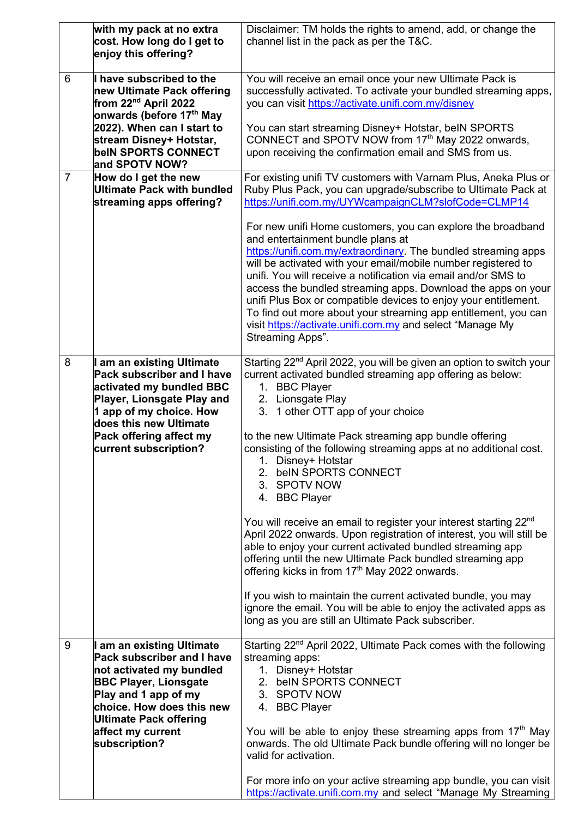|                | with my pack at no extra<br>cost. How long do I get to<br>enjoy this offering?                                                                                                                                                                       | Disclaimer: TM holds the rights to amend, add, or change the<br>channel list in the pack as per the T&C.                                                                                                                                                                                                                                                                                                                                                                                                                                                                                                                                                                                                                                                                                                                                                                                                                                                                                |
|----------------|------------------------------------------------------------------------------------------------------------------------------------------------------------------------------------------------------------------------------------------------------|-----------------------------------------------------------------------------------------------------------------------------------------------------------------------------------------------------------------------------------------------------------------------------------------------------------------------------------------------------------------------------------------------------------------------------------------------------------------------------------------------------------------------------------------------------------------------------------------------------------------------------------------------------------------------------------------------------------------------------------------------------------------------------------------------------------------------------------------------------------------------------------------------------------------------------------------------------------------------------------------|
| 6              | I have subscribed to the<br>new Ultimate Pack offering<br>from 22 <sup>nd</sup> April 2022<br>onwards (before 17 <sup>th</sup> May<br>2022). When can I start to<br>stream Disney+ Hotstar,<br><b>beIN SPORTS CONNECT</b>                            | You will receive an email once your new Ultimate Pack is<br>successfully activated. To activate your bundled streaming apps,<br>you can visit https://activate.unifi.com.my/disney<br>You can start streaming Disney+ Hotstar, beIN SPORTS<br>CONNECT and SPOTV NOW from 17th May 2022 onwards,<br>upon receiving the confirmation email and SMS from us.                                                                                                                                                                                                                                                                                                                                                                                                                                                                                                                                                                                                                               |
| $\overline{7}$ | and SPOTV NOW?<br>How do I get the new<br><b>Ultimate Pack with bundled</b><br>streaming apps offering?                                                                                                                                              | For existing unifi TV customers with Varnam Plus, Aneka Plus or<br>Ruby Plus Pack, you can upgrade/subscribe to Ultimate Pack at<br>https://unifi.com.my/UYWcampaignCLM?slofCode=CLMP14                                                                                                                                                                                                                                                                                                                                                                                                                                                                                                                                                                                                                                                                                                                                                                                                 |
|                |                                                                                                                                                                                                                                                      | For new unifi Home customers, you can explore the broadband<br>and entertainment bundle plans at<br>https://unifi.com.my/extraordinary. The bundled streaming apps<br>will be activated with your email/mobile number registered to<br>unifi. You will receive a notification via email and/or SMS to<br>access the bundled streaming apps. Download the apps on your<br>unifi Plus Box or compatible devices to enjoy your entitlement.<br>To find out more about your streaming app entitlement, you can<br>visit https://activate.unifi.com.my and select "Manage My<br>Streaming Apps".                                                                                                                                                                                                                                                                                                                                                                                             |
| 8              | I am an existing Ultimate<br><b>Pack subscriber and I have</b><br>activated my bundled BBC<br>Player, Lionsgate Play and<br>1 app of my choice. How<br>does this new Ultimate<br>Pack offering affect my<br>current subscription?                    | Starting 22 <sup>nd</sup> April 2022, you will be given an option to switch your<br>current activated bundled streaming app offering as below:<br>1. BBC Player<br>2. Lionsgate Play<br>3. 1 other OTT app of your choice<br>to the new Ultimate Pack streaming app bundle offering<br>consisting of the following streaming apps at no additional cost.<br>1. Disney+ Hotstar<br>2. beIN SPORTS CONNECT<br>3. SPOTV NOW<br>4. BBC Player<br>You will receive an email to register your interest starting 22 <sup>nd</sup><br>April 2022 onwards. Upon registration of interest, you will still be<br>able to enjoy your current activated bundled streaming app<br>offering until the new Ultimate Pack bundled streaming app<br>offering kicks in from 17 <sup>th</sup> May 2022 onwards.<br>If you wish to maintain the current activated bundle, you may<br>ignore the email. You will be able to enjoy the activated apps as<br>long as you are still an Ultimate Pack subscriber. |
| 9              | am an existing Ultimate<br><b>Pack subscriber and I have</b><br>not activated my bundled<br><b>BBC Player, Lionsgate</b><br>Play and 1 app of my<br>choice. How does this new<br><b>Ultimate Pack offering</b><br>affect my current<br>subscription? | Starting 22 <sup>nd</sup> April 2022, Ultimate Pack comes with the following<br>streaming apps:<br>1. Disney+ Hotstar<br>2. beIN SPORTS CONNECT<br>3. SPOTV NOW<br>4. BBC Player<br>You will be able to enjoy these streaming apps from $17th$ May<br>onwards. The old Ultimate Pack bundle offering will no longer be<br>valid for activation.<br>For more info on your active streaming app bundle, you can visit<br>https://activate.unifi.com.my and select "Manage My Streaming                                                                                                                                                                                                                                                                                                                                                                                                                                                                                                    |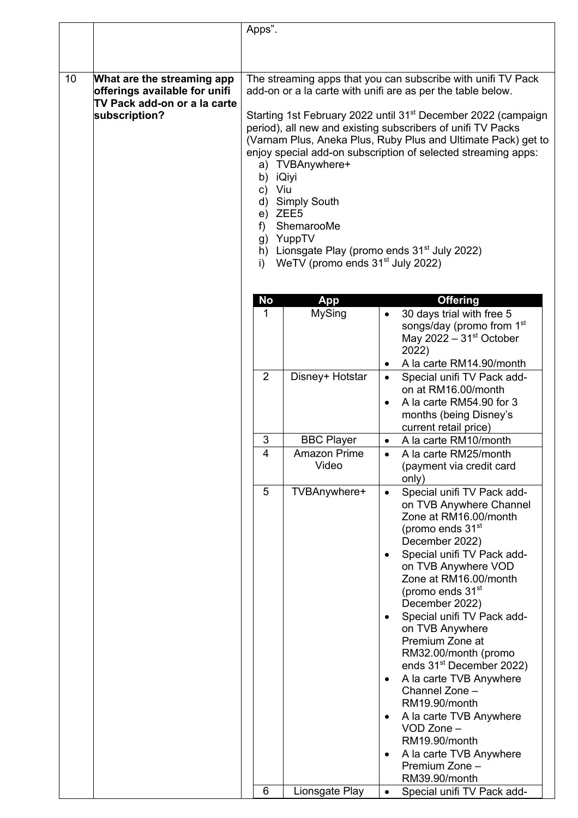|    |                                                                                                              | Apps".                           |                                                                                                                                           |                                                                                                                                                                                                                                                                                                                                                                                                                                                                                                                                                                                                                                                             |
|----|--------------------------------------------------------------------------------------------------------------|----------------------------------|-------------------------------------------------------------------------------------------------------------------------------------------|-------------------------------------------------------------------------------------------------------------------------------------------------------------------------------------------------------------------------------------------------------------------------------------------------------------------------------------------------------------------------------------------------------------------------------------------------------------------------------------------------------------------------------------------------------------------------------------------------------------------------------------------------------------|
|    |                                                                                                              |                                  |                                                                                                                                           |                                                                                                                                                                                                                                                                                                                                                                                                                                                                                                                                                                                                                                                             |
|    |                                                                                                              |                                  |                                                                                                                                           |                                                                                                                                                                                                                                                                                                                                                                                                                                                                                                                                                                                                                                                             |
| 10 | What are the streaming app<br>offerings available for unifi<br>TV Pack add-on or a la carte<br>subscription? | b)<br>C)<br>d)<br>e)<br>f)<br>i) | a) TVBAnywhere+<br>iQiyi<br>Viu<br><b>Simply South</b><br>ZEE5<br>ShemarooMe<br>g) YuppTV<br>WeTV (promo ends 31 <sup>st</sup> July 2022) | The streaming apps that you can subscribe with unifi TV Pack<br>add-on or a la carte with unifi are as per the table below.<br>Starting 1st February 2022 until 31 <sup>st</sup> December 2022 (campaign<br>period), all new and existing subscribers of unifi TV Packs<br>(Varnam Plus, Aneka Plus, Ruby Plus and Ultimate Pack) get to<br>enjoy special add-on subscription of selected streaming apps:<br>h) Lionsgate Play (promo ends $31st$ July 2022)                                                                                                                                                                                                |
|    |                                                                                                              | <b>No</b>                        | App                                                                                                                                       | <b>Offering</b>                                                                                                                                                                                                                                                                                                                                                                                                                                                                                                                                                                                                                                             |
|    |                                                                                                              | 1                                | <b>MySing</b>                                                                                                                             | 30 days trial with free 5<br>$\bullet$<br>songs/day (promo from 1 <sup>st</sup><br>May 2022 $-31st October$<br>2022)<br>A la carte RM14.90/month<br>$\bullet$                                                                                                                                                                                                                                                                                                                                                                                                                                                                                               |
|    |                                                                                                              | $\overline{2}$                   | Disney+ Hotstar                                                                                                                           | Special unifi TV Pack add-<br>on at RM16.00/month<br>A la carte RM54.90 for 3<br>$\bullet$<br>months (being Disney's<br>current retail price)                                                                                                                                                                                                                                                                                                                                                                                                                                                                                                               |
|    |                                                                                                              | 3                                | <b>BBC Player</b>                                                                                                                         | A la carte RM10/month                                                                                                                                                                                                                                                                                                                                                                                                                                                                                                                                                                                                                                       |
|    |                                                                                                              | $\overline{4}$                   | <b>Amazon Prime</b><br>Video                                                                                                              | A la carte RM25/month<br>(payment via credit card<br>only)                                                                                                                                                                                                                                                                                                                                                                                                                                                                                                                                                                                                  |
|    |                                                                                                              | 5                                | TVBAnywhere+                                                                                                                              | Special unifi TV Pack add-<br>$\bullet$<br>on TVB Anywhere Channel<br>Zone at RM16.00/month<br>(promo ends 31 <sup>st</sup><br>December 2022)<br>Special unifi TV Pack add-<br>$\bullet$<br>on TVB Anywhere VOD<br>Zone at RM16.00/month<br>(promo ends 31 <sup>st</sup><br>December 2022)<br>Special unifi TV Pack add-<br>$\bullet$<br>on TVB Anywhere<br>Premium Zone at<br>RM32.00/month (promo<br>ends 31 <sup>st</sup> December 2022)<br>A la carte TVB Anywhere<br>$\bullet$<br>Channel Zone -<br>RM19.90/month<br>A la carte TVB Anywhere<br>$\bullet$<br>VOD Zone -<br>RM19.90/month<br>A la carte TVB Anywhere<br>Premium Zone -<br>RM39.90/month |
|    |                                                                                                              | 6                                | Lionsgate Play                                                                                                                            | Special unifi TV Pack add-<br>$\bullet$                                                                                                                                                                                                                                                                                                                                                                                                                                                                                                                                                                                                                     |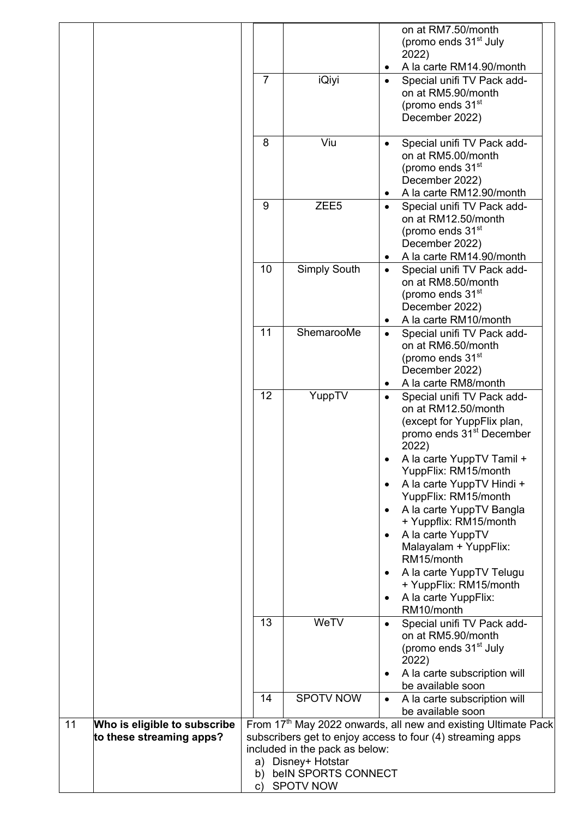|                                                                |                |                                                                             | on at RM7.50/month<br>(promo ends 31 <sup>st</sup> July<br>2022)<br>A la carte RM14.90/month                                                                 |
|----------------------------------------------------------------|----------------|-----------------------------------------------------------------------------|--------------------------------------------------------------------------------------------------------------------------------------------------------------|
|                                                                | $\overline{7}$ | iQiyi                                                                       | Special unifi TV Pack add-<br>$\bullet$<br>on at RM5.90/month<br>(promo ends 31 <sup>st</sup><br>December 2022)                                              |
|                                                                | 8              | Viu                                                                         | Special unifi TV Pack add-<br>$\bullet$<br>on at RM5.00/month<br>(promo ends 31 <sup>st</sup><br>December 2022)<br>A la carte RM12.90/month<br>٠             |
|                                                                | 9              | ZEE <sub>5</sub>                                                            | Special unifi TV Pack add-<br>$\bullet$<br>on at RM12.50/month<br>(promo ends 31 <sup>st</sup><br>December 2022)<br>A la carte RM14.90/month<br>٠            |
|                                                                | 10             | <b>Simply South</b>                                                         | Special unifi TV Pack add-<br>$\bullet$<br>on at RM8.50/month<br>(promo ends 31 <sup>st</sup><br>December 2022)<br>A la carte RM10/month                     |
|                                                                | 11             | ShemarooMe                                                                  | Special unifi TV Pack add-<br>$\bullet$<br>on at RM6.50/month<br>(promo ends 31 <sup>st</sup><br>December 2022)<br>A la carte RM8/month                      |
|                                                                | 12             | YuppTV                                                                      | Special unifi TV Pack add-<br>$\bullet$<br>on at RM12.50/month<br>(except for YuppFlix plan,<br>promo ends 31 <sup>st</sup> December<br>2022)                |
|                                                                |                |                                                                             | A la carte YuppTV Tamil +<br>YuppFlix: RM15/month<br>A la carte YuppTV Hindi +<br>$\bullet$<br>YuppFlix: RM15/month<br>A la carte YuppTV Bangla<br>$\bullet$ |
|                                                                |                |                                                                             | + Yuppflix: RM15/month<br>A la carte YuppTV<br>$\bullet$<br>Malayalam + YuppFlix:<br>RM15/month<br>A la carte YuppTV Telugu<br>$\bullet$                     |
|                                                                | 13             | WeTV                                                                        | + YuppFlix: RM15/month<br>A la carte YuppFlix:<br>$\bullet$<br>RM10/month<br>Special unifi TV Pack add-<br>$\bullet$                                         |
|                                                                |                |                                                                             | on at RM5.90/month<br>(promo ends 31 <sup>st</sup> July<br>2022)<br>A la carte subscription will<br>$\bullet$                                                |
|                                                                | 14             | <b>SPOTV NOW</b>                                                            | be available soon<br>A la carte subscription will<br>$\bullet$<br>be available soon                                                                          |
| Who is eligible to subscribe<br>11<br>to these streaming apps? | b)             | included in the pack as below:<br>a) Disney+ Hotstar<br>beIN SPORTS CONNECT | From 17 <sup>th</sup> May 2022 onwards, all new and existing Ultimate Pack<br>subscribers get to enjoy access to four (4) streaming apps                     |
|                                                                |                | c) SPOTV NOW                                                                |                                                                                                                                                              |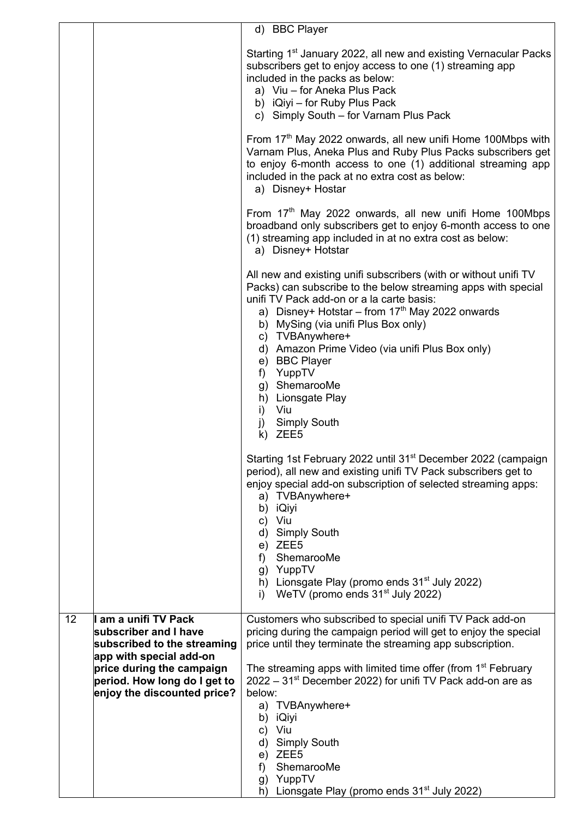|    |                                                                                                                                                                                                     | d) BBC Player                                                                                                                                                                                                                                                                                                                                                                                                                                                                                                             |
|----|-----------------------------------------------------------------------------------------------------------------------------------------------------------------------------------------------------|---------------------------------------------------------------------------------------------------------------------------------------------------------------------------------------------------------------------------------------------------------------------------------------------------------------------------------------------------------------------------------------------------------------------------------------------------------------------------------------------------------------------------|
|    |                                                                                                                                                                                                     | Starting 1 <sup>st</sup> January 2022, all new and existing Vernacular Packs<br>subscribers get to enjoy access to one (1) streaming app<br>included in the packs as below:<br>a) Viu - for Aneka Plus Pack<br>b) iQiyi - for Ruby Plus Pack<br>c) Simply South - for Varnam Plus Pack                                                                                                                                                                                                                                    |
|    |                                                                                                                                                                                                     | From 17th May 2022 onwards, all new unifi Home 100Mbps with<br>Varnam Plus, Aneka Plus and Ruby Plus Packs subscribers get<br>to enjoy 6-month access to one (1) additional streaming app<br>included in the pack at no extra cost as below:<br>a) Disney+ Hostar                                                                                                                                                                                                                                                         |
|    |                                                                                                                                                                                                     | From 17 <sup>th</sup> May 2022 onwards, all new unifi Home 100Mbps<br>broadband only subscribers get to enjoy 6-month access to one<br>(1) streaming app included in at no extra cost as below:<br>a) Disney+ Hotstar                                                                                                                                                                                                                                                                                                     |
|    |                                                                                                                                                                                                     | All new and existing unifi subscribers (with or without unifi TV<br>Packs) can subscribe to the below streaming apps with special<br>unifi TV Pack add-on or a la carte basis:<br>a) Disney+ Hotstar – from $17th$ May 2022 onwards<br>b) MySing (via unifi Plus Box only)<br>c) TVBAnywhere+<br>d) Amazon Prime Video (via unifi Plus Box only)<br>e) BBC Player<br>f) YuppTV<br>g) ShemarooMe<br>h) Lionsgate Play<br>i) Viu<br>j) Simply South<br>$k)$ ZEE5                                                            |
|    |                                                                                                                                                                                                     | Starting 1st February 2022 until 31 <sup>st</sup> December 2022 (campaign<br>period), all new and existing unifi TV Pack subscribers get to<br>enjoy special add-on subscription of selected streaming apps:<br>a) TVBAnywhere+<br>b) iQiyi<br>c) Viu<br>d) Simply South<br>e) ZEE5<br>f) ShemarooMe<br>g) YuppTV<br>h) Lionsgate Play (promo ends $31st$ July 2022)<br>WeTV (promo ends 31 <sup>st</sup> July 2022)<br>i)                                                                                                |
| 12 | I am a unifi TV Pack<br>subscriber and I have<br>subscribed to the streaming<br>app with special add-on<br>price during the campaign<br>period. How long do I get to<br>enjoy the discounted price? | Customers who subscribed to special unifi TV Pack add-on<br>pricing during the campaign period will get to enjoy the special<br>price until they terminate the streaming app subscription.<br>The streaming apps with limited time offer (from 1 <sup>st</sup> February<br>$2022 - 31st$ December 2022) for unifi TV Pack add-on are as<br>below:<br>a) TVBAnywhere+<br>b) iQiyi<br>c) Viu<br>d) Simply South<br>e) ZEE5<br>ShemarooMe<br>f)<br>g) YuppTV<br>Lionsgate Play (promo ends 31 <sup>st</sup> July 2022)<br>h) |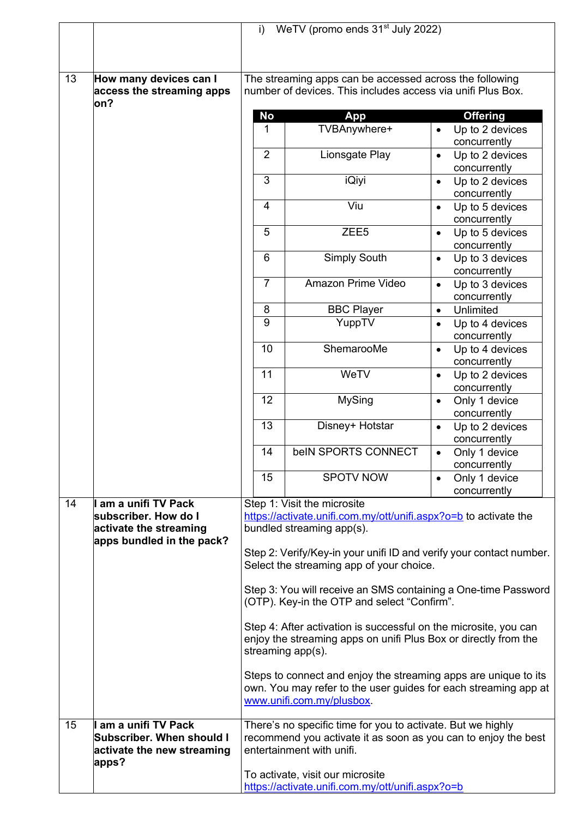|    |                                                                                                   | WeTV (promo ends 31 <sup>st</sup> July 2022)<br>i)                                                                                                                                                                                              |                                                                                                                                                                 |                                                 |  |  |
|----|---------------------------------------------------------------------------------------------------|-------------------------------------------------------------------------------------------------------------------------------------------------------------------------------------------------------------------------------------------------|-----------------------------------------------------------------------------------------------------------------------------------------------------------------|-------------------------------------------------|--|--|
|    |                                                                                                   |                                                                                                                                                                                                                                                 |                                                                                                                                                                 |                                                 |  |  |
|    |                                                                                                   |                                                                                                                                                                                                                                                 |                                                                                                                                                                 |                                                 |  |  |
| 13 | How many devices can I<br>access the streaming apps                                               | The streaming apps can be accessed across the following<br>number of devices. This includes access via unifi Plus Box.                                                                                                                          |                                                                                                                                                                 |                                                 |  |  |
|    | on?                                                                                               | <b>No</b>                                                                                                                                                                                                                                       |                                                                                                                                                                 |                                                 |  |  |
|    |                                                                                                   | 1                                                                                                                                                                                                                                               | <b>App</b><br>TVBAnywhere+                                                                                                                                      | <b>Offering</b><br>Up to 2 devices<br>$\bullet$ |  |  |
|    |                                                                                                   |                                                                                                                                                                                                                                                 |                                                                                                                                                                 | concurrently                                    |  |  |
|    |                                                                                                   | $\overline{2}$                                                                                                                                                                                                                                  | Lionsgate Play                                                                                                                                                  | Up to 2 devices<br>$\bullet$<br>concurrently    |  |  |
|    |                                                                                                   | 3                                                                                                                                                                                                                                               | <b>iQiyi</b>                                                                                                                                                    | Up to 2 devices<br>$\bullet$<br>concurrently    |  |  |
|    |                                                                                                   | 4                                                                                                                                                                                                                                               | Viu                                                                                                                                                             | Up to 5 devices<br>$\bullet$<br>concurrently    |  |  |
|    |                                                                                                   | 5                                                                                                                                                                                                                                               | ZEE <sub>5</sub>                                                                                                                                                | Up to 5 devices<br>$\bullet$<br>concurrently    |  |  |
|    |                                                                                                   | 6                                                                                                                                                                                                                                               | Simply South                                                                                                                                                    | Up to 3 devices<br>$\bullet$<br>concurrently    |  |  |
|    |                                                                                                   | $\overline{7}$                                                                                                                                                                                                                                  | Amazon Prime Video                                                                                                                                              | Up to 3 devices<br>$\bullet$<br>concurrently    |  |  |
|    |                                                                                                   | 8                                                                                                                                                                                                                                               | <b>BBC Player</b>                                                                                                                                               | Unlimited<br>$\bullet$                          |  |  |
|    |                                                                                                   | 9                                                                                                                                                                                                                                               | YuppTV                                                                                                                                                          | Up to 4 devices<br>$\bullet$<br>concurrently    |  |  |
|    |                                                                                                   | 10                                                                                                                                                                                                                                              | ShemarooMe                                                                                                                                                      | Up to 4 devices<br>$\bullet$<br>concurrently    |  |  |
|    |                                                                                                   | 11                                                                                                                                                                                                                                              | WeTV                                                                                                                                                            | Up to 2 devices<br>$\bullet$<br>concurrently    |  |  |
|    |                                                                                                   | 12                                                                                                                                                                                                                                              | <b>MySing</b>                                                                                                                                                   | Only 1 device<br>$\bullet$<br>concurrently      |  |  |
|    |                                                                                                   | 13                                                                                                                                                                                                                                              | Disney+ Hotstar                                                                                                                                                 | Up to 2 devices<br>$\bullet$<br>concurrently    |  |  |
|    |                                                                                                   | 14                                                                                                                                                                                                                                              | beIN SPORTS CONNECT                                                                                                                                             | Only 1 device<br>$\bullet$<br>concurrently      |  |  |
|    |                                                                                                   | 15                                                                                                                                                                                                                                              | <b>SPOTV NOW</b>                                                                                                                                                | Only 1 device<br>$\bullet$<br>concurrently      |  |  |
| 14 | am a unifi TV Pack<br>subscriber. How do I<br>activate the streaming<br>apps bundled in the pack? | Step 1: Visit the microsite<br>https://activate.unifi.com.my/ott/unifi.aspx?o=b to activate the<br>bundled streaming app(s).<br>Step 2: Verify/Key-in your unifi ID and verify your contact number.<br>Select the streaming app of your choice. |                                                                                                                                                                 |                                                 |  |  |
|    |                                                                                                   | Step 3: You will receive an SMS containing a One-time Password<br>(OTP). Key-in the OTP and select "Confirm".                                                                                                                                   |                                                                                                                                                                 |                                                 |  |  |
|    |                                                                                                   |                                                                                                                                                                                                                                                 | Step 4: After activation is successful on the microsite, you can<br>enjoy the streaming apps on unifi Plus Box or directly from the<br>streaming app(s).        |                                                 |  |  |
|    |                                                                                                   |                                                                                                                                                                                                                                                 | Steps to connect and enjoy the streaming apps are unique to its<br>own. You may refer to the user guides for each streaming app at<br>www.unifi.com.my/plusbox. |                                                 |  |  |
| 15 | am a unifi TV Pack<br>Subscriber. When should I<br>activate the new streaming<br>apps?            |                                                                                                                                                                                                                                                 | There's no specific time for you to activate. But we highly<br>recommend you activate it as soon as you can to enjoy the best<br>entertainment with unifi.      |                                                 |  |  |
|    |                                                                                                   |                                                                                                                                                                                                                                                 | To activate, visit our microsite<br>https://activate.unifi.com.my/ott/unifi.aspx?o=b                                                                            |                                                 |  |  |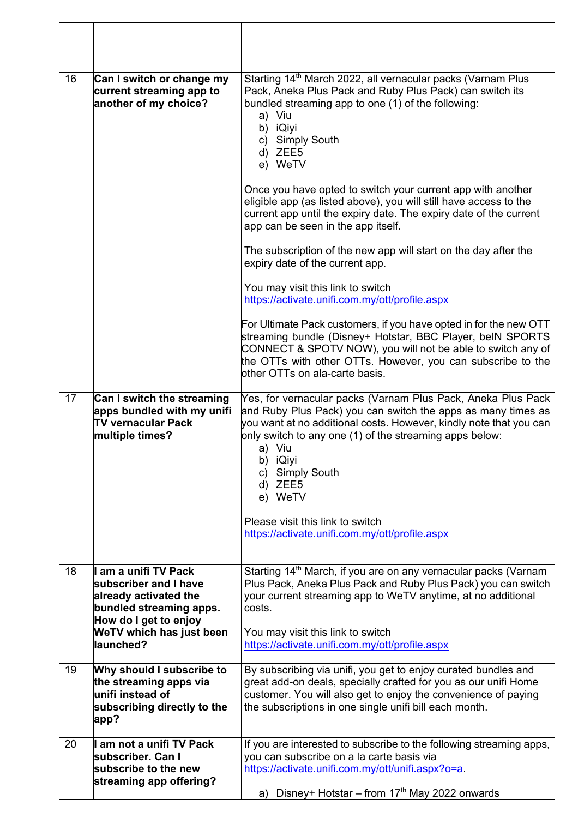| 16 | Can I switch or change my<br>current streaming app to<br>another of my choice?                                           | Starting 14 <sup>th</sup> March 2022, all vernacular packs (Varnam Plus<br>Pack, Aneka Plus Pack and Ruby Plus Pack) can switch its<br>bundled streaming app to one (1) of the following:<br>a) Viu<br>b) iQiyi<br>c) Simply South<br>d) ZEE5<br>e) WeTV<br>Once you have opted to switch your current app with another      |
|----|--------------------------------------------------------------------------------------------------------------------------|------------------------------------------------------------------------------------------------------------------------------------------------------------------------------------------------------------------------------------------------------------------------------------------------------------------------------|
|    |                                                                                                                          | eligible app (as listed above), you will still have access to the<br>current app until the expiry date. The expiry date of the current<br>app can be seen in the app itself.                                                                                                                                                 |
|    |                                                                                                                          | The subscription of the new app will start on the day after the<br>expiry date of the current app.                                                                                                                                                                                                                           |
|    |                                                                                                                          | You may visit this link to switch<br>https://activate.unifi.com.my/ott/profile.aspx                                                                                                                                                                                                                                          |
|    |                                                                                                                          | For Ultimate Pack customers, if you have opted in for the new OTT<br>streaming bundle (Disney+ Hotstar, BBC Player, beIN SPORTS<br>CONNECT & SPOTV NOW), you will not be able to switch any of<br>the OTTs with other OTTs. However, you can subscribe to the<br>other OTTs on ala-carte basis.                              |
| 17 | Can I switch the streaming<br>apps bundled with my unifi<br><b>TV vernacular Pack</b><br>multiple times?                 | Yes, for vernacular packs (Varnam Plus Pack, Aneka Plus Pack<br>and Ruby Plus Pack) you can switch the apps as many times as<br>you want at no additional costs. However, kindly note that you can<br>only switch to any one (1) of the streaming apps below:<br>a) Viu<br>b) iQiyi<br>c) Simply South<br>d) ZEE5<br>e) WeTV |
|    |                                                                                                                          | Please visit this link to switch<br>https://activate.unifi.com.my/ott/profile.aspx                                                                                                                                                                                                                                           |
| 18 | am a unifi TV Pack<br>subscriber and I have<br>already activated the<br>bundled streaming apps.<br>How do I get to enjoy | Starting 14 <sup>th</sup> March, if you are on any vernacular packs (Varnam<br>Plus Pack, Aneka Plus Pack and Ruby Plus Pack) you can switch<br>your current streaming app to WeTV anytime, at no additional<br>costs.                                                                                                       |
|    | WeTV which has just been<br>llaunched?                                                                                   | You may visit this link to switch<br>https://activate.unifi.com.my/ott/profile.aspx                                                                                                                                                                                                                                          |
| 19 | Why should I subscribe to<br>the streaming apps via<br>unifi instead of<br>subscribing directly to the<br>app?           | By subscribing via unifi, you get to enjoy curated bundles and<br>great add-on deals, specially crafted for you as our unifi Home<br>customer. You will also get to enjoy the convenience of paying<br>the subscriptions in one single unifi bill each month.                                                                |
| 20 | am not a unifi TV Pack<br>subscriber. Can I<br>subscribe to the new<br>streaming app offering?                           | If you are interested to subscribe to the following streaming apps,<br>you can subscribe on a la carte basis via<br>https://activate.unifi.com.my/ott/unifi.aspx?o=a<br>Disney+ Hotstar – from $17th$ May 2022 onwards<br>a)                                                                                                 |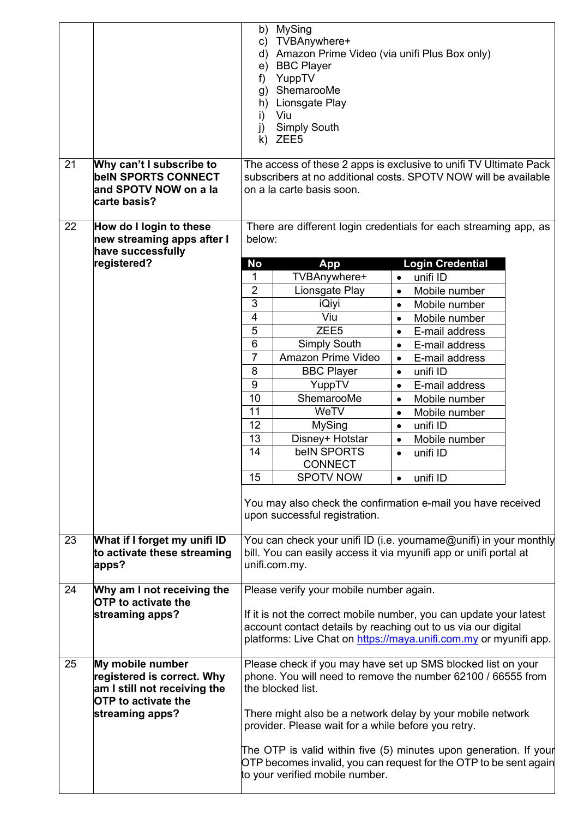| 21 |                                                                                                                                 | b) MySing<br>c) TVBAnywhere+<br>d) Amazon Prime Video (via unifi Plus Box only)<br>e) BBC Player<br>YuppTV<br>f)<br>ShemarooMe<br>g)<br>Lionsgate Play<br>h)<br>Viu<br>i)<br><b>Simply South</b><br>j)<br>k) ZEE5                                   |                                                                                                                                                                                                                                                          |           |                         |  |
|----|---------------------------------------------------------------------------------------------------------------------------------|-----------------------------------------------------------------------------------------------------------------------------------------------------------------------------------------------------------------------------------------------------|----------------------------------------------------------------------------------------------------------------------------------------------------------------------------------------------------------------------------------------------------------|-----------|-------------------------|--|
|    | Why can't I subscribe to<br><b>beIN SPORTS CONNECT</b><br>and SPOTV NOW on a la<br>carte basis?                                 | The access of these 2 apps is exclusive to unifi TV Ultimate Pack<br>subscribers at no additional costs. SPOTV NOW will be available<br>on a la carte basis soon.                                                                                   |                                                                                                                                                                                                                                                          |           |                         |  |
| 22 | How do I login to these<br>new streaming apps after I<br>have successfully                                                      | There are different login credentials for each streaming app, as<br>below:                                                                                                                                                                          |                                                                                                                                                                                                                                                          |           |                         |  |
|    | registered?                                                                                                                     | <b>No</b>                                                                                                                                                                                                                                           | App                                                                                                                                                                                                                                                      |           | <b>Login Credential</b> |  |
|    |                                                                                                                                 | 1                                                                                                                                                                                                                                                   | TVBAnywhere+                                                                                                                                                                                                                                             | $\bullet$ | unifi ID                |  |
|    |                                                                                                                                 | $\overline{2}$                                                                                                                                                                                                                                      | Lionsgate Play                                                                                                                                                                                                                                           | $\bullet$ | Mobile number           |  |
|    |                                                                                                                                 | 3                                                                                                                                                                                                                                                   | iQiyi                                                                                                                                                                                                                                                    | $\bullet$ | Mobile number           |  |
|    |                                                                                                                                 | 4                                                                                                                                                                                                                                                   | Viu                                                                                                                                                                                                                                                      | $\bullet$ | Mobile number           |  |
|    |                                                                                                                                 | $\overline{5}$                                                                                                                                                                                                                                      | ZEE <sub>5</sub>                                                                                                                                                                                                                                         | $\bullet$ | E-mail address          |  |
|    |                                                                                                                                 | $\overline{6}$                                                                                                                                                                                                                                      | <b>Simply South</b>                                                                                                                                                                                                                                      | $\bullet$ | E-mail address          |  |
|    |                                                                                                                                 | 7                                                                                                                                                                                                                                                   | Amazon Prime Video                                                                                                                                                                                                                                       | $\bullet$ | E-mail address          |  |
|    |                                                                                                                                 | 8                                                                                                                                                                                                                                                   | <b>BBC Player</b>                                                                                                                                                                                                                                        | $\bullet$ | unifi ID                |  |
|    |                                                                                                                                 | 9                                                                                                                                                                                                                                                   | YuppTV                                                                                                                                                                                                                                                   | $\bullet$ | E-mail address          |  |
|    |                                                                                                                                 | 10                                                                                                                                                                                                                                                  | ShemarooMe                                                                                                                                                                                                                                               | $\bullet$ | Mobile number           |  |
|    |                                                                                                                                 | 11                                                                                                                                                                                                                                                  | WeTV                                                                                                                                                                                                                                                     | $\bullet$ | Mobile number           |  |
|    |                                                                                                                                 | 12                                                                                                                                                                                                                                                  | <b>MySing</b>                                                                                                                                                                                                                                            | $\bullet$ | unifi ID                |  |
|    |                                                                                                                                 | 13                                                                                                                                                                                                                                                  | Disney+ Hotstar                                                                                                                                                                                                                                          | $\bullet$ | Mobile number           |  |
|    |                                                                                                                                 | 14                                                                                                                                                                                                                                                  | belN SPORTS                                                                                                                                                                                                                                              | $\bullet$ | unifi ID                |  |
|    |                                                                                                                                 |                                                                                                                                                                                                                                                     | <b>CONNECT</b>                                                                                                                                                                                                                                           |           |                         |  |
|    |                                                                                                                                 | 15<br><b>SPOTV NOW</b><br>unifi ID<br>$\bullet$                                                                                                                                                                                                     |                                                                                                                                                                                                                                                          |           |                         |  |
| 23 | What if I forget my unifi ID<br>to activate these streaming<br>apps?                                                            |                                                                                                                                                                                                                                                     | You may also check the confirmation e-mail you have received<br>upon successful registration.<br>You can check your unifi ID (i.e. yourname@unifi) in your monthly<br>bill. You can easily access it via myunifi app or unifi portal at<br>unifi.com.my. |           |                         |  |
|    |                                                                                                                                 |                                                                                                                                                                                                                                                     |                                                                                                                                                                                                                                                          |           |                         |  |
| 24 | Why am I not receiving the<br><b>OTP</b> to activate the<br>streaming apps?                                                     | Please verify your mobile number again.<br>If it is not the correct mobile number, you can update your latest<br>account contact details by reaching out to us via our digital<br>platforms: Live Chat on https://maya.unifi.com.my or myunifi app. |                                                                                                                                                                                                                                                          |           |                         |  |
| 25 | My mobile number<br>registered is correct. Why<br>am I still not receiving the<br><b>OTP</b> to activate the<br>streaming apps? | Please check if you may have set up SMS blocked list on your<br>phone. You will need to remove the number 62100 / 66555 from<br>the blocked list.                                                                                                   |                                                                                                                                                                                                                                                          |           |                         |  |
|    |                                                                                                                                 |                                                                                                                                                                                                                                                     | There might also be a network delay by your mobile network<br>provider. Please wait for a while before you retry.                                                                                                                                        |           |                         |  |
|    |                                                                                                                                 |                                                                                                                                                                                                                                                     | The OTP is valid within five (5) minutes upon generation. If your<br>OTP becomes invalid, you can request for the OTP to be sent again<br>to your verified mobile number.                                                                                |           |                         |  |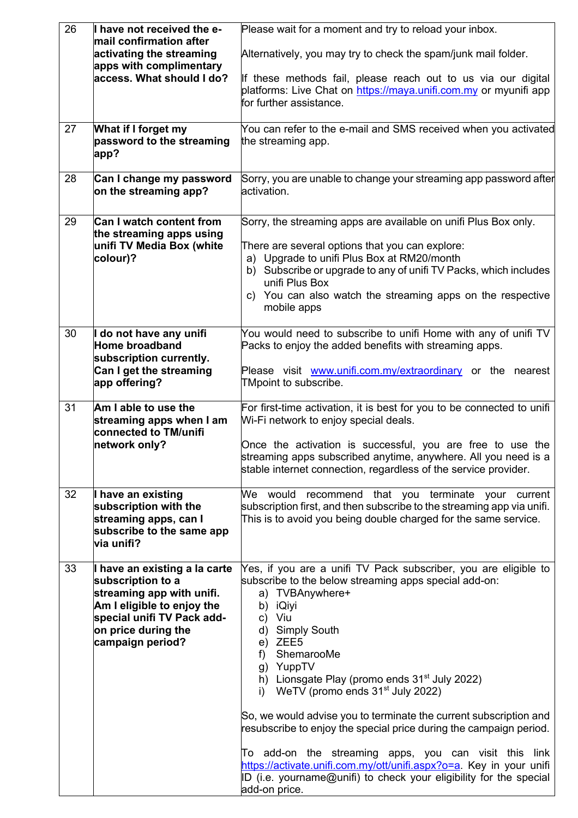| 26 | I have not received the e-<br>mail confirmation after                                                                                                                                  | Please wait for a moment and try to reload your inbox.                                                                                                                                                                                                                                                                                                                                                                                                                                                                                                                                                                                                                                                   |
|----|----------------------------------------------------------------------------------------------------------------------------------------------------------------------------------------|----------------------------------------------------------------------------------------------------------------------------------------------------------------------------------------------------------------------------------------------------------------------------------------------------------------------------------------------------------------------------------------------------------------------------------------------------------------------------------------------------------------------------------------------------------------------------------------------------------------------------------------------------------------------------------------------------------|
|    | activating the streaming<br>apps with complimentary                                                                                                                                    | Alternatively, you may try to check the spam/junk mail folder.                                                                                                                                                                                                                                                                                                                                                                                                                                                                                                                                                                                                                                           |
|    | access. What should I do?                                                                                                                                                              | If these methods fail, please reach out to us via our digital<br>platforms: Live Chat on https://maya.unifi.com.my or myunifi app<br>for further assistance.                                                                                                                                                                                                                                                                                                                                                                                                                                                                                                                                             |
| 27 | What if I forget my<br>password to the streaming<br>app?                                                                                                                               | You can refer to the e-mail and SMS received when you activated<br>the streaming app.                                                                                                                                                                                                                                                                                                                                                                                                                                                                                                                                                                                                                    |
| 28 | Can I change my password<br>on the streaming app?                                                                                                                                      | Sorry, you are unable to change your streaming app password after<br>activation.                                                                                                                                                                                                                                                                                                                                                                                                                                                                                                                                                                                                                         |
| 29 | <b>Can I watch content from</b><br>the streaming apps using<br>unifi TV Media Box (white<br>colour)?                                                                                   | Sorry, the streaming apps are available on unifi Plus Box only.<br>There are several options that you can explore:<br>a) Upgrade to unifi Plus Box at RM20/month<br>b) Subscribe or upgrade to any of unifi TV Packs, which includes<br>unifi Plus Box<br>c) You can also watch the streaming apps on the respective<br>mobile apps                                                                                                                                                                                                                                                                                                                                                                      |
| 30 | I do not have any unifi<br>Home broadband<br>subscription currently.<br>Can I get the streaming<br>app offering?                                                                       | You would need to subscribe to unifi Home with any of unifi TV<br>Packs to enjoy the added benefits with streaming apps.<br>Please visit www.unifi.com.my/extraordinary or the nearest<br>TMpoint to subscribe.                                                                                                                                                                                                                                                                                                                                                                                                                                                                                          |
| 31 | Am I able to use the<br>streaming apps when I am<br>connected to TM/unifi<br>network only?                                                                                             | For first-time activation, it is best for you to be connected to unifi<br>Wi-Fi network to enjoy special deals.<br>Once the activation is successful, you are free to use the<br>streaming apps subscribed anytime, anywhere. All you need is a<br>stable internet connection, regardless of the service provider.                                                                                                                                                                                                                                                                                                                                                                                       |
| 32 | I have an existing<br>subscription with the<br>streaming apps, can I<br>subscribe to the same app<br>via unifi?                                                                        | We would recommend that you terminate your current<br>subscription first, and then subscribe to the streaming app via unifi.<br>This is to avoid you being double charged for the same service.                                                                                                                                                                                                                                                                                                                                                                                                                                                                                                          |
| 33 | I have an existing a la carte<br>subscription to a<br>streaming app with unifi.<br>Am I eligible to enjoy the<br>special unifi TV Pack add-<br>on price during the<br>campaign period? | Yes, if you are a unifi TV Pack subscriber, you are eligible to<br>subscribe to the below streaming apps special add-on:<br>a) TVBAnywhere+<br>b) iQiyi<br>c) Viu<br><b>Simply South</b><br>d)<br>e) ZEE5<br>ShemarooMe<br>f)<br>g) YuppTV<br>h) Lionsgate Play (promo ends $31st$ July 2022)<br>i) WeTV (promo ends $31st$ July 2022)<br>So, we would advise you to terminate the current subscription and<br>resubscribe to enjoy the special price during the campaign period.<br>To add-on the streaming apps, you can visit this link<br>https://activate.unifi.com.my/ott/unifi.aspx?o=a. Key in your unifi<br>ID (i.e. yourname@unifi) to check your eligibility for the special<br>add-on price. |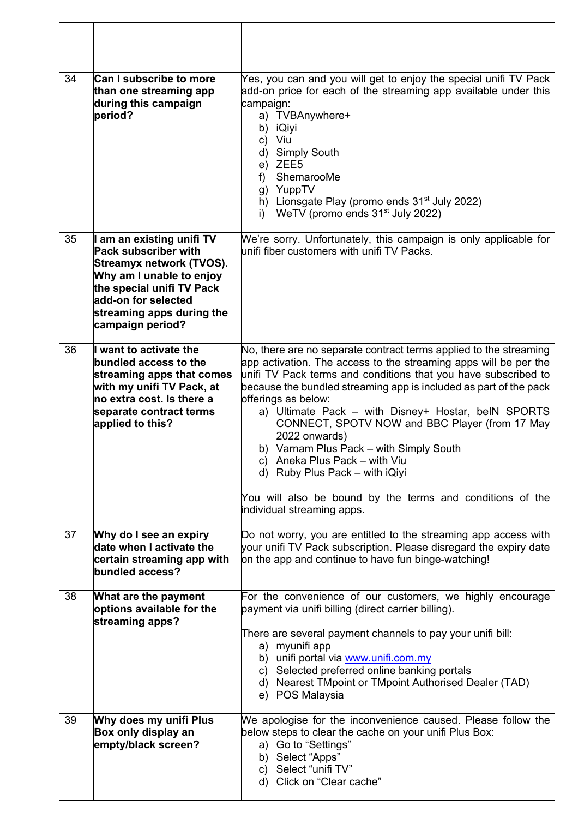| 34 | <b>Can I subscribe to more</b><br>than one streaming app<br>during this campaign<br>period?                                                                                                                  | Yes, you can and you will get to enjoy the special unifi TV Pack<br>add-on price for each of the streaming app available under this<br>campaign:<br>a) TVBAnywhere+<br>b)<br>iQiyi<br>Viu<br>c)<br><b>Simply South</b><br>d)<br>e) ZEE5<br>ShemarooMe<br>f)<br>g) YuppTV<br>h) Lionsgate Play (promo ends $31st$ July 2022)<br>WeTV (promo ends 31 <sup>st</sup> July 2022)<br>i)                                                                                                                                                                                                                                                      |
|----|--------------------------------------------------------------------------------------------------------------------------------------------------------------------------------------------------------------|----------------------------------------------------------------------------------------------------------------------------------------------------------------------------------------------------------------------------------------------------------------------------------------------------------------------------------------------------------------------------------------------------------------------------------------------------------------------------------------------------------------------------------------------------------------------------------------------------------------------------------------|
| 35 | am an existing unifi TV<br>Pack subscriber with<br>Streamyx network (TVOS).<br>Why am I unable to enjoy<br>the special unifi TV Pack<br>add-on for selected<br>streaming apps during the<br>campaign period? | We're sorry. Unfortunately, this campaign is only applicable for<br>unifi fiber customers with unifi TV Packs.                                                                                                                                                                                                                                                                                                                                                                                                                                                                                                                         |
| 36 | want to activate the<br>bundled access to the<br>streaming apps that comes<br>with my unifi TV Pack, at<br>no extra cost. Is there a<br>separate contract terms<br>applied to this?                          | No, there are no separate contract terms applied to the streaming<br>app activation. The access to the streaming apps will be per the<br>unifi TV Pack terms and conditions that you have subscribed to<br>because the bundled streaming app is included as part of the pack<br>offerings as below:<br>a) Ultimate Pack - with Disney+ Hostar, beIN SPORTS<br>CONNECT, SPOTV NOW and BBC Player (from 17 May<br>2022 onwards)<br>b) Varnam Plus Pack - with Simply South<br>c) Aneka Plus Pack - with Viu<br>d) Ruby Plus Pack - with iQiyi<br>You will also be bound by the terms and conditions of the<br>individual streaming apps. |
| 37 | Why do I see an expiry<br>date when I activate the<br>certain streaming app with<br>bundled access?                                                                                                          | Do not worry, you are entitled to the streaming app access with<br>your unifi TV Pack subscription. Please disregard the expiry date<br>on the app and continue to have fun binge-watching!                                                                                                                                                                                                                                                                                                                                                                                                                                            |
| 38 | What are the payment<br>options available for the<br>streaming apps?                                                                                                                                         | For the convenience of our customers, we highly encourage<br>payment via unifi billing (direct carrier billing).<br>There are several payment channels to pay your unifi bill:<br>a) myunifi app<br>b) unifi portal via www.unifi.com.my<br>c) Selected preferred online banking portals<br>d) Nearest TMpoint or TMpoint Authorised Dealer (TAD)<br>e) POS Malaysia                                                                                                                                                                                                                                                                   |
| 39 | Why does my unifi Plus<br>Box only display an<br>empty/black screen?                                                                                                                                         | We apologise for the inconvenience caused. Please follow the<br>below steps to clear the cache on your unifi Plus Box:<br>a) Go to "Settings"<br>b) Select "Apps"<br>c) Select "unifi TV"<br>d) Click on "Clear cache"                                                                                                                                                                                                                                                                                                                                                                                                                 |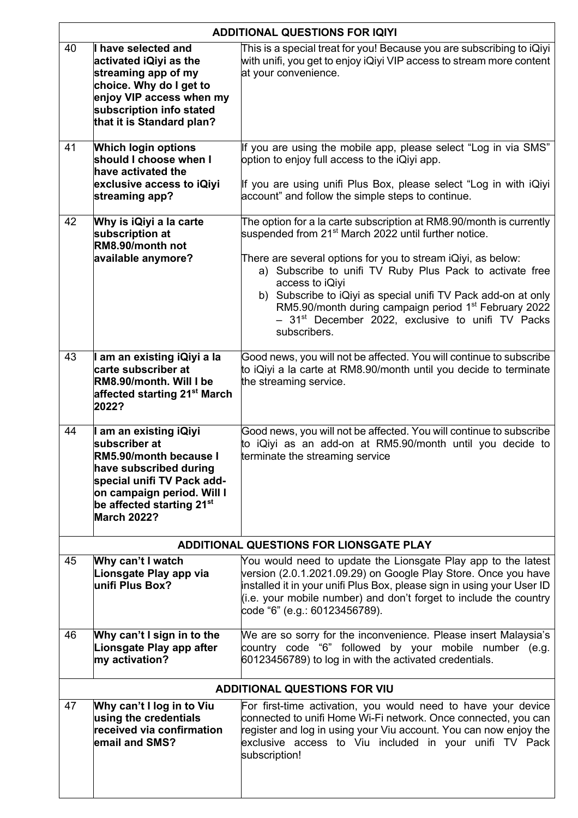|    | <b>ADDITIONAL QUESTIONS FOR IQIYI</b>                                                                                                                                                                                  |                                                                                                                                                                                                                                                                                                                                                                                                                                                                                                               |  |  |
|----|------------------------------------------------------------------------------------------------------------------------------------------------------------------------------------------------------------------------|---------------------------------------------------------------------------------------------------------------------------------------------------------------------------------------------------------------------------------------------------------------------------------------------------------------------------------------------------------------------------------------------------------------------------------------------------------------------------------------------------------------|--|--|
| 40 | I have selected and<br>activated iQiyi as the<br>streaming app of my<br>choice. Why do I get to<br>enjoy VIP access when my<br>subscription info stated<br>that it is Standard plan?                                   | This is a special treat for you! Because you are subscribing to iQiyi<br>with unifi, you get to enjoy iQiyi VIP access to stream more content<br>at your convenience.                                                                                                                                                                                                                                                                                                                                         |  |  |
| 41 | <b>Which login options</b><br>should I choose when I<br>have activated the<br>exclusive access to iQiyi<br>streaming app?                                                                                              | If you are using the mobile app, please select "Log in via SMS"<br>option to enjoy full access to the iQiyi app.<br>If you are using unifi Plus Box, please select "Log in with iQiyi<br>account" and follow the simple steps to continue.                                                                                                                                                                                                                                                                    |  |  |
| 42 | Why is iQiyi a la carte<br>subscription at<br>RM8.90/month not<br>available anymore?                                                                                                                                   | The option for a la carte subscription at RM8.90/month is currently<br>suspended from 21 <sup>st</sup> March 2022 until further notice.<br>There are several options for you to stream iQiyi, as below:<br>a) Subscribe to unifi TV Ruby Plus Pack to activate free<br>access to iQiyi<br>b) Subscribe to iQiyi as special unifi TV Pack add-on at only<br>RM5.90/month during campaign period 1 <sup>st</sup> February 2022<br>- 31 <sup>st</sup> December 2022, exclusive to unifi TV Packs<br>subscribers. |  |  |
| 43 | I am an existing iQiyi a la<br>carte subscriber at<br>RM8.90/month. Will I be<br>affected starting 21 <sup>st</sup> March<br>2022?                                                                                     | Good news, you will not be affected. You will continue to subscribe<br>to iQiyi a la carte at RM8.90/month until you decide to terminate<br>the streaming service.                                                                                                                                                                                                                                                                                                                                            |  |  |
| 44 | I am an existing iQiyi<br>subscriber at<br>RM5.90/month because I<br>have subscribed during<br>special unifi TV Pack add-<br>on campaign period. Will I<br>be affected starting 21 <sup>st</sup><br><b>March 2022?</b> | Good news, you will not be affected. You will continue to subscribe<br>to iQiyi as an add-on at RM5.90/month until you decide to<br>terminate the streaming service                                                                                                                                                                                                                                                                                                                                           |  |  |
|    |                                                                                                                                                                                                                        | <b>ADDITIONAL QUESTIONS FOR LIONSGATE PLAY</b>                                                                                                                                                                                                                                                                                                                                                                                                                                                                |  |  |
| 45 | Why can't I watch<br>Lionsgate Play app via<br>unifi Plus Box?                                                                                                                                                         | You would need to update the Lionsgate Play app to the latest<br>version (2.0.1.2021.09.29) on Google Play Store. Once you have<br>installed it in your unifi Plus Box, please sign in using your User ID<br>(i.e. your mobile number) and don't forget to include the country<br>code "6" (e.g.: 60123456789).                                                                                                                                                                                               |  |  |
| 46 | Why can't I sign in to the<br>Lionsgate Play app after<br>my activation?                                                                                                                                               | We are so sorry for the inconvenience. Please insert Malaysia's<br>country code "6" followed by your mobile number (e.g.<br>60123456789) to log in with the activated credentials.                                                                                                                                                                                                                                                                                                                            |  |  |
|    | <b>ADDITIONAL QUESTIONS FOR VIU</b>                                                                                                                                                                                    |                                                                                                                                                                                                                                                                                                                                                                                                                                                                                                               |  |  |
| 47 | Why can't I log in to Viu<br>using the credentials<br>received via confirmation<br>email and SMS?                                                                                                                      | For first-time activation, you would need to have your device<br>connected to unifi Home Wi-Fi network. Once connected, you can<br>register and log in using your Viu account. You can now enjoy the<br>exclusive access to Viu included in your unifi TV Pack<br>subscription!                                                                                                                                                                                                                               |  |  |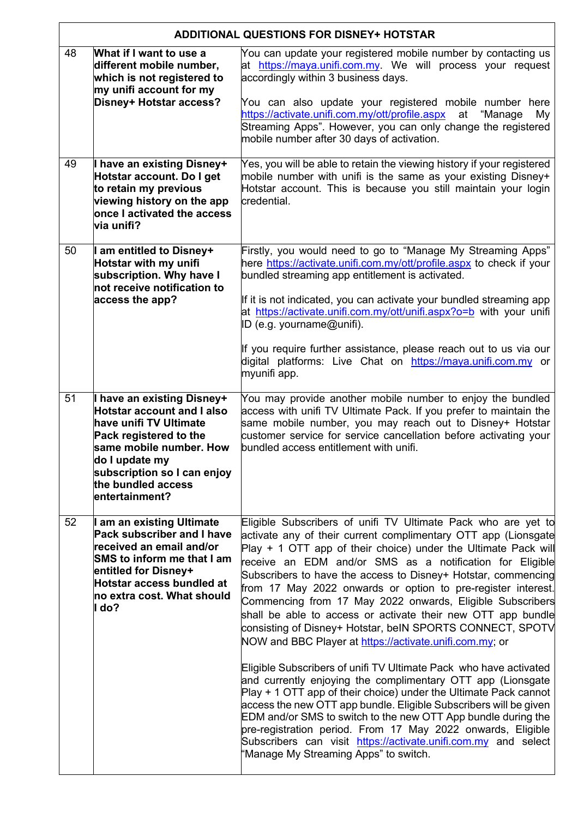|    | <b>ADDITIONAL QUESTIONS FOR DISNEY+ HOTSTAR</b>                                                                                                                                                                                         |                                                                                                                                                                                                                                                                                                                                                                                                                                                                                                                                                                                                                                                                                                                                                                                                                                                                                                                                                                                                                                                                                                                                                                             |  |  |
|----|-----------------------------------------------------------------------------------------------------------------------------------------------------------------------------------------------------------------------------------------|-----------------------------------------------------------------------------------------------------------------------------------------------------------------------------------------------------------------------------------------------------------------------------------------------------------------------------------------------------------------------------------------------------------------------------------------------------------------------------------------------------------------------------------------------------------------------------------------------------------------------------------------------------------------------------------------------------------------------------------------------------------------------------------------------------------------------------------------------------------------------------------------------------------------------------------------------------------------------------------------------------------------------------------------------------------------------------------------------------------------------------------------------------------------------------|--|--|
| 48 | What if I want to use a<br>different mobile number,<br>which is not registered to<br>my unifi account for my<br>Disney+ Hotstar access?                                                                                                 | You can update your registered mobile number by contacting us<br>at https://maya.unifi.com.my. We will process your request<br>accordingly within 3 business days.<br>You can also update your registered mobile number here<br>https://activate.unifi.com.my/ott/profile.aspx at<br>"Manage<br>My<br>Streaming Apps". However, you can only change the registered<br>mobile number after 30 days of activation.                                                                                                                                                                                                                                                                                                                                                                                                                                                                                                                                                                                                                                                                                                                                                            |  |  |
| 49 | I have an existing Disney+<br>Hotstar account. Do I get<br>to retain my previous<br>viewing history on the app<br>once I activated the access<br>via unifi?                                                                             | Yes, you will be able to retain the viewing history if your registered<br>mobile number with unifi is the same as your existing Disney+<br>Hotstar account. This is because you still maintain your login<br>credential.                                                                                                                                                                                                                                                                                                                                                                                                                                                                                                                                                                                                                                                                                                                                                                                                                                                                                                                                                    |  |  |
| 50 | I am entitled to Disney+<br>Hotstar with my unifi<br>subscription. Why have I<br>not receive notification to<br>access the app?                                                                                                         | Firstly, you would need to go to "Manage My Streaming Apps"<br>here https://activate.unifi.com.my/ott/profile.aspx to check if your<br>bundled streaming app entitlement is activated.<br>If it is not indicated, you can activate your bundled streaming app<br>at https://activate.unifi.com.my/ott/unifi.aspx?o=b with your unifi<br>ID (e.g. yourname@unifi).<br>If you require further assistance, please reach out to us via our<br>digital platforms: Live Chat on https://maya.unifi.com.my or<br>myunifi app.                                                                                                                                                                                                                                                                                                                                                                                                                                                                                                                                                                                                                                                      |  |  |
| 51 | I have an existing Disney+<br><b>Hotstar account and I also</b><br>have unifi TV Ultimate<br>Pack registered to the<br>same mobile number. How<br>do I update my<br>subscription so I can enjoy<br>the bundled access<br>entertainment? | You may provide another mobile number to enjoy the bundled<br>access with unifi TV Ultimate Pack. If you prefer to maintain the<br>same mobile number, you may reach out to Disney+ Hotstar<br>customer service for service cancellation before activating your<br>bundled access entitlement with unifi.                                                                                                                                                                                                                                                                                                                                                                                                                                                                                                                                                                                                                                                                                                                                                                                                                                                                   |  |  |
| 52 | I am an existing Ultimate<br>Pack subscriber and I have<br>received an email and/or<br>SMS to inform me that I am<br>entitled for Disney+<br>Hotstar access bundled at<br>no extra cost. What should<br>l do?                           | Eligible Subscribers of unifi TV Ultimate Pack who are yet to<br>activate any of their current complimentary OTT app (Lionsgate<br>Play + 1 OTT app of their choice) under the Ultimate Pack will<br>receive an EDM and/or SMS as a notification for Eligible<br>Subscribers to have the access to Disney+ Hotstar, commencing<br>from 17 May 2022 onwards or option to pre-register interest.<br>Commencing from 17 May 2022 onwards, Eligible Subscribers<br>shall be able to access or activate their new OTT app bundle<br>consisting of Disney+ Hotstar, beIN SPORTS CONNECT, SPOTV<br>NOW and BBC Player at https://activate.unifi.com.my; or<br>Eligible Subscribers of unifi TV Ultimate Pack who have activated<br>and currently enjoying the complimentary OTT app (Lionsgate<br>Play + 1 OTT app of their choice) under the Ultimate Pack cannot<br>access the new OTT app bundle. Eligible Subscribers will be given<br>EDM and/or SMS to switch to the new OTT App bundle during the<br>pre-registration period. From 17 May 2022 onwards, Eligible<br>Subscribers can visit https://activate.unifi.com.my and select<br>'Manage My Streaming Apps" to switch. |  |  |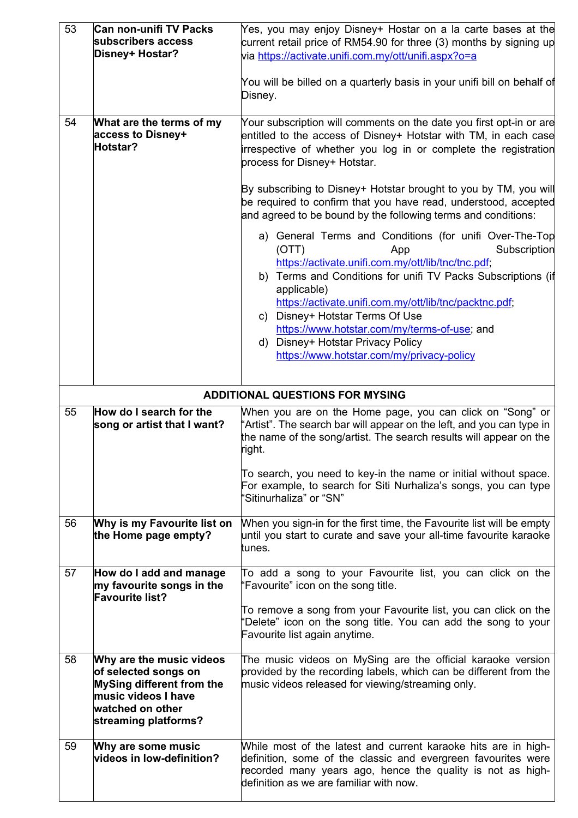| 53 | Can non-unifi TV Packs<br>subscribers access<br>Disney+ Hostar?                                                                                  | Yes, you may enjoy Disney+ Hostar on a la carte bases at the<br>current retail price of RM54.90 for three (3) months by signing up<br>via https://activate.unifi.com.my/ott/unifi.aspx?o=a<br>You will be billed on a quarterly basis in your unifi bill on behalf of<br>Disney.                                                                                                                                                                            |  |  |  |
|----|--------------------------------------------------------------------------------------------------------------------------------------------------|-------------------------------------------------------------------------------------------------------------------------------------------------------------------------------------------------------------------------------------------------------------------------------------------------------------------------------------------------------------------------------------------------------------------------------------------------------------|--|--|--|
| 54 | What are the terms of my<br>access to Disney+<br>Hotstar?                                                                                        | Your subscription will comments on the date you first opt-in or are<br>entitled to the access of Disney+ Hotstar with TM, in each case<br>irrespective of whether you log in or complete the registration<br>process for Disney+ Hotstar.                                                                                                                                                                                                                   |  |  |  |
|    |                                                                                                                                                  | By subscribing to Disney+ Hotstar brought to you by TM, you will<br>be required to confirm that you have read, understood, accepted<br>and agreed to be bound by the following terms and conditions:                                                                                                                                                                                                                                                        |  |  |  |
|    |                                                                                                                                                  | a) General Terms and Conditions (for unifi Over-The-Top<br>Subscription<br>(OTT)<br>App<br>https://activate.unifi.com.my/ott/lib/tnc/tnc.pdf;<br>b) Terms and Conditions for unifi TV Packs Subscriptions (if<br>applicable)<br>https://activate.unifi.com.my/ott/lib/tnc/packtnc.pdf;<br>c) Disney+ Hotstar Terms Of Use<br>https://www.hotstar.com/my/terms-of-use; and<br>d) Disney+ Hotstar Privacy Policy<br>https://www.hotstar.com/my/privacy-policy |  |  |  |
|    | <b>ADDITIONAL QUESTIONS FOR MYSING</b>                                                                                                           |                                                                                                                                                                                                                                                                                                                                                                                                                                                             |  |  |  |
| 55 | How do I search for the<br>song or artist that I want?                                                                                           | When you are on the Home page, you can click on "Song" or<br>'Artist". The search bar will appear on the left, and you can type in<br>the name of the song/artist. The search results will appear on the<br>right.                                                                                                                                                                                                                                          |  |  |  |
|    |                                                                                                                                                  | To search, you need to key-in the name or initial without space.<br>For example, to search for Siti Nurhaliza's songs, you can type<br>'Sitinurhaliza" or "SN"                                                                                                                                                                                                                                                                                              |  |  |  |
| 56 | Why is my Favourite list on<br>the Home page empty?                                                                                              | When you sign-in for the first time, the Favourite list will be empty<br>until you start to curate and save your all-time favourite karaoke<br>ltunes.                                                                                                                                                                                                                                                                                                      |  |  |  |
| 57 | How do I add and manage<br>my favourite songs in the<br><b>Favourite list?</b>                                                                   | To add a song to your Favourite list, you can click on the<br>'Favourite" icon on the song title.<br>To remove a song from your Favourite list, you can click on the<br>'Delete" icon on the song title. You can add the song to your<br>Favourite list again anytime.                                                                                                                                                                                      |  |  |  |
| 58 | Why are the music videos<br>of selected songs on<br>MySing different from the<br>music videos I have<br>watched on other<br>streaming platforms? | The music videos on MySing are the official karaoke version<br>provided by the recording labels, which can be different from the<br>music videos released for viewing/streaming only.                                                                                                                                                                                                                                                                       |  |  |  |
| 59 | Why are some music<br>videos in low-definition?                                                                                                  | While most of the latest and current karaoke hits are in high-<br>definition, some of the classic and evergreen favourites were<br>recorded many years ago, hence the quality is not as high-<br>definition as we are familiar with now.                                                                                                                                                                                                                    |  |  |  |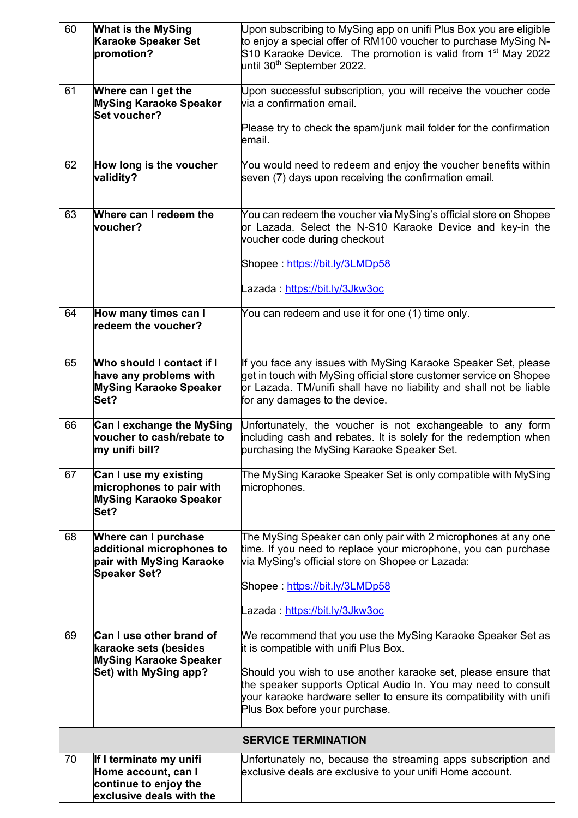| 60 | <b>What is the MySing</b><br><b>Karaoke Speaker Set</b><br>promotion?                                       | Upon subscribing to MySing app on unifi Plus Box you are eligible<br>to enjoy a special offer of RM100 voucher to purchase MySing N-<br>S10 Karaoke Device. The promotion is valid from 1 <sup>st</sup> May 2022<br>until 30 <sup>th</sup> September 2022. |  |  |
|----|-------------------------------------------------------------------------------------------------------------|------------------------------------------------------------------------------------------------------------------------------------------------------------------------------------------------------------------------------------------------------------|--|--|
| 61 | Where can I get the<br><b>MySing Karaoke Speaker</b><br>Set voucher?                                        | Upon successful subscription, you will receive the voucher code<br>via a confirmation email.                                                                                                                                                               |  |  |
|    |                                                                                                             | Please try to check the spam/junk mail folder for the confirmation<br>email.                                                                                                                                                                               |  |  |
| 62 | How long is the voucher<br>validity?                                                                        | You would need to redeem and enjoy the voucher benefits within<br>seven (7) days upon receiving the confirmation email.                                                                                                                                    |  |  |
| 63 | Where can I redeem the<br>voucher?                                                                          | You can redeem the voucher via MySing's official store on Shopee<br>or Lazada. Select the N-S10 Karaoke Device and key-in the<br>voucher code during checkout                                                                                              |  |  |
|    |                                                                                                             | Shopee: https://bit.ly/3LMDp58                                                                                                                                                                                                                             |  |  |
|    |                                                                                                             | Lazada: https://bit.ly/3Jkw3oc                                                                                                                                                                                                                             |  |  |
| 64 | How many times can I<br>redeem the voucher?                                                                 | You can redeem and use it for one (1) time only.                                                                                                                                                                                                           |  |  |
| 65 | Who should I contact if I<br>have any problems with<br><b>MySing Karaoke Speaker</b><br>Set?                | If you face any issues with MySing Karaoke Speaker Set, please<br>get in touch with MySing official store customer service on Shopee<br>or Lazada. TM/unifi shall have no liability and shall not be liable<br>for any damages to the device.              |  |  |
| 66 | Can I exchange the MySing<br>voucher to cash/rebate to<br>my unifi bill?                                    | Unfortunately, the voucher is not exchangeable to any form<br>including cash and rebates. It is solely for the redemption when<br>purchasing the MySing Karaoke Speaker Set.                                                                               |  |  |
| 67 | Can I use my existing<br>microphones to pair with<br><b>MySing Karaoke Speaker</b><br>Set?                  | The MySing Karaoke Speaker Set is only compatible with MySing<br>microphones.                                                                                                                                                                              |  |  |
| 68 | <b>Where can I purchase</b><br>additional microphones to<br>pair with MySing Karaoke<br><b>Speaker Set?</b> | The MySing Speaker can only pair with 2 microphones at any one<br>time. If you need to replace your microphone, you can purchase<br>via MySing's official store on Shopee or Lazada:                                                                       |  |  |
|    |                                                                                                             | Shopee: https://bit.ly/3LMDp58                                                                                                                                                                                                                             |  |  |
|    |                                                                                                             | Lazada: https://bit.ly/3Jkw3oc                                                                                                                                                                                                                             |  |  |
| 69 | Can I use other brand of<br>karaoke sets (besides                                                           | We recommend that you use the MySing Karaoke Speaker Set as<br>it is compatible with unifi Plus Box.                                                                                                                                                       |  |  |
|    | <b>MySing Karaoke Speaker</b><br>Set) with MySing app?                                                      | Should you wish to use another karaoke set, please ensure that<br>the speaker supports Optical Audio In. You may need to consult<br>your karaoke hardware seller to ensure its compatibility with unifi<br>Plus Box before your purchase.                  |  |  |
|    |                                                                                                             | <b>SERVICE TERMINATION</b>                                                                                                                                                                                                                                 |  |  |
| 70 | If I terminate my unifi<br>Home account, can I<br>continue to enjoy the<br>exclusive deals with the         | Unfortunately no, because the streaming apps subscription and<br>exclusive deals are exclusive to your unifi Home account.                                                                                                                                 |  |  |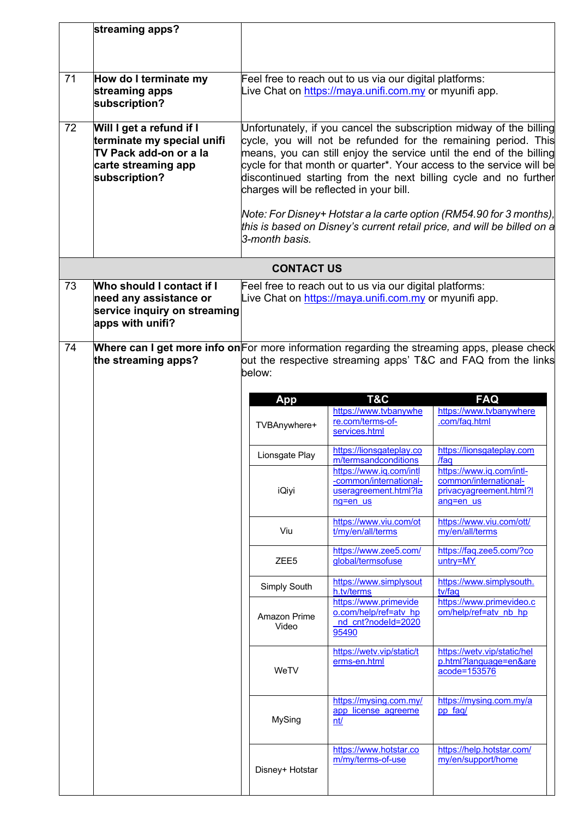|    | streaming apps?                                                                                                                                                                                |                                                                                                                                                                                                                                                                                                                                                                                                                                                                                                                                                                         |                                                                                        |                                                                                           |  |
|----|------------------------------------------------------------------------------------------------------------------------------------------------------------------------------------------------|-------------------------------------------------------------------------------------------------------------------------------------------------------------------------------------------------------------------------------------------------------------------------------------------------------------------------------------------------------------------------------------------------------------------------------------------------------------------------------------------------------------------------------------------------------------------------|----------------------------------------------------------------------------------------|-------------------------------------------------------------------------------------------|--|
|    |                                                                                                                                                                                                |                                                                                                                                                                                                                                                                                                                                                                                                                                                                                                                                                                         |                                                                                        |                                                                                           |  |
| 71 | How do I terminate my<br>streaming apps<br>subscription?                                                                                                                                       | Feel free to reach out to us via our digital platforms:<br>Live Chat on https://maya.unifi.com.my or myunifi app.                                                                                                                                                                                                                                                                                                                                                                                                                                                       |                                                                                        |                                                                                           |  |
| 72 | Will I get a refund if I<br>terminate my special unifi<br>TV Pack add-on or a la<br>carte streaming app<br>subscription?                                                                       | Unfortunately, if you cancel the subscription midway of the billing<br>cycle, you will not be refunded for the remaining period. This<br>means, you can still enjoy the service until the end of the billing<br>cycle for that month or quarter*. Your access to the service will be<br>discontinued starting from the next billing cycle and no further<br>charges will be reflected in your bill.<br>Note: For Disney+ Hotstar a la carte option (RM54.90 for 3 months),<br>this is based on Disney's current retail price, and will be billed on a<br>3-month basis. |                                                                                        |                                                                                           |  |
|    |                                                                                                                                                                                                | <b>CONTACT US</b>                                                                                                                                                                                                                                                                                                                                                                                                                                                                                                                                                       |                                                                                        |                                                                                           |  |
| 73 | Who should I contact if I<br>need any assistance or<br>service inquiry on streaming<br>apps with unifi?                                                                                        | Feel free to reach out to us via our digital platforms:<br>Live Chat on https://maya.unifi.com.my or myunifi app.                                                                                                                                                                                                                                                                                                                                                                                                                                                       |                                                                                        |                                                                                           |  |
| 74 | Where can I get more info on For more information regarding the streaming apps, please check<br>out the respective streaming apps' T&C and FAQ from the links<br>the streaming apps?<br>below: |                                                                                                                                                                                                                                                                                                                                                                                                                                                                                                                                                                         |                                                                                        |                                                                                           |  |
|    |                                                                                                                                                                                                | T&C<br><b>FAQ</b><br>App                                                                                                                                                                                                                                                                                                                                                                                                                                                                                                                                                |                                                                                        |                                                                                           |  |
|    |                                                                                                                                                                                                | TVBAnywhere+                                                                                                                                                                                                                                                                                                                                                                                                                                                                                                                                                            | https://www.tvbanywhe<br>re.com/terms-of-<br>services.html                             | https://www.tvbanywhere<br>.com/faq.html                                                  |  |
|    |                                                                                                                                                                                                | Lionsgate Play                                                                                                                                                                                                                                                                                                                                                                                                                                                                                                                                                          | https://lionsgateplay.co<br>m/termsandconditions                                       | https://lionsgateplay.com<br>/faq                                                         |  |
|    |                                                                                                                                                                                                | iQiyi                                                                                                                                                                                                                                                                                                                                                                                                                                                                                                                                                                   | https://www.ig.com/intl<br>-common/international-<br>useragreement.html?la<br>ng=en us | https://www.iq.com/intl-<br>common/international-<br>privacyagreement.html?l<br>ang=en us |  |
|    |                                                                                                                                                                                                | Viu                                                                                                                                                                                                                                                                                                                                                                                                                                                                                                                                                                     | https://www.viu.com/ot<br>t/my/en/all/terms                                            | https://www.viu.com/ott/<br>my/en/all/terms                                               |  |
|    |                                                                                                                                                                                                | ZEE <sub>5</sub>                                                                                                                                                                                                                                                                                                                                                                                                                                                                                                                                                        | https://www.zee5.com/<br>global/termsofuse                                             | https://faq.zee5.com/?co<br>untry=MY                                                      |  |
|    |                                                                                                                                                                                                | Simply South                                                                                                                                                                                                                                                                                                                                                                                                                                                                                                                                                            | https://www.simplysout<br>h.tv/terms                                                   | https://www.simplysouth.<br>tv/faq                                                        |  |
|    |                                                                                                                                                                                                | Amazon Prime<br>Video                                                                                                                                                                                                                                                                                                                                                                                                                                                                                                                                                   | https://www.primevide<br>o.com/help/ref=atv_hp<br>nd cnt?nodeld=2020<br>95490          | https://www.primevideo.c<br>om/help/ref=atv nb hp                                         |  |
|    |                                                                                                                                                                                                | WeTV                                                                                                                                                                                                                                                                                                                                                                                                                                                                                                                                                                    | https://wetv.vip/static/t<br>erms-en.html                                              | https://wetv.vip/static/hel<br>p.html?language=en&are<br>acode=153576                     |  |
|    |                                                                                                                                                                                                | MySing                                                                                                                                                                                                                                                                                                                                                                                                                                                                                                                                                                  | https://mysing.com.my/<br>app license agreeme<br>nt/                                   | https://mysing.com.my/a<br>pp faq/                                                        |  |
|    |                                                                                                                                                                                                | Disney+ Hotstar                                                                                                                                                                                                                                                                                                                                                                                                                                                                                                                                                         | https://www.hotstar.co<br>m/my/terms-of-use                                            | https://help.hotstar.com/<br>my/en/support/home                                           |  |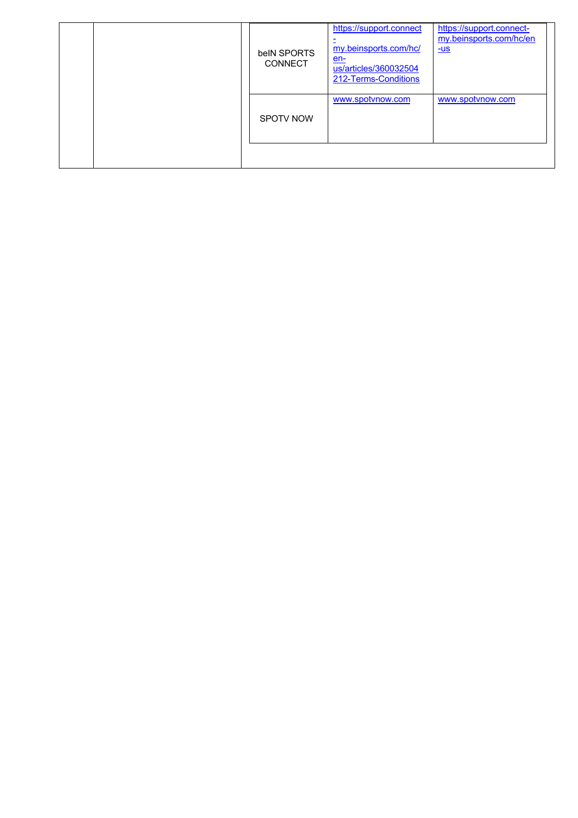| belN SPORTS<br><b>CONNECT</b> | https://support.connect<br>my.beinsports.com/hc/<br>$en-$<br>us/articles/360032504<br>212-Terms-Conditions | https://support.connect-<br>my.beinsports.com/hc/en<br>$-US$ |
|-------------------------------|------------------------------------------------------------------------------------------------------------|--------------------------------------------------------------|
| <b>SPOTV NOW</b>              | www.spotynow.com                                                                                           | www.spotvnow.com                                             |